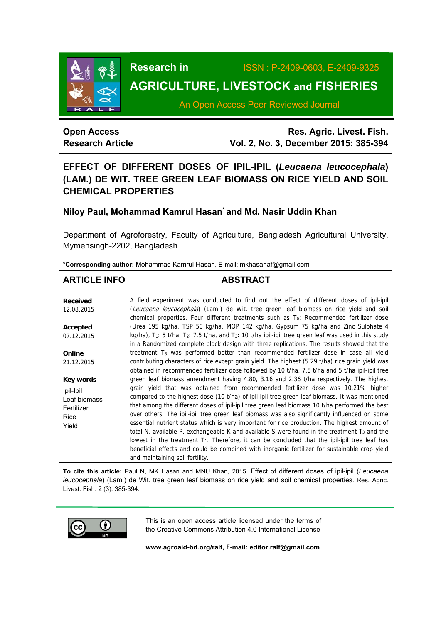

**Research in** ISSN : P-2409-0603, E-2409-9325

# **AGRICULTURE, LIVESTOCK and FISHERIES**

An Open Access Peer Reviewed Journal

# **Open Access Research Article**

**Res. Agric. Livest. Fish. Vol. 2, No. 3, December 2015: 385-394**

# **EFFECT OF DIFFERENT DOSES OF IPIL-IPIL (***Leucaena leucocephala***) (LAM.) DE WIT. TREE GREEN LEAF BIOMASS ON RICE YIELD AND SOIL CHEMICAL PROPERTIES**

# **Niloy Paul, Mohammad Kamrul Hasan\* and Md. Nasir Uddin Khan**

Department of Agroforestry, Faculty of Agriculture, Bangladesh Agricultural University, Mymensingh-2202, Bangladesh

**\*Corresponding author:** Mohammad Kamrul Hasan, E-mail: mkhasanaf@gmail.com

# **ARTICLE INFO ABSTRACT**

| <b>Received</b><br>12.08.2015                                   | A field experiment was conducted to find out the effect of different doses of ipil-ipil<br>(Leucaena leucocephala) (Lam.) de Wit. tree green leaf biomass on rice yield and soil<br>chemical properties. Four different treatments such as $T_0$ : Recommended fertilizer dose                                                                                                                                                                                                                                                                                                                                                                                                                                                                                                                                               |
|-----------------------------------------------------------------|------------------------------------------------------------------------------------------------------------------------------------------------------------------------------------------------------------------------------------------------------------------------------------------------------------------------------------------------------------------------------------------------------------------------------------------------------------------------------------------------------------------------------------------------------------------------------------------------------------------------------------------------------------------------------------------------------------------------------------------------------------------------------------------------------------------------------|
| Accepted                                                        | (Urea 195 kg/ha, TSP 50 kg/ha, MOP 142 kg/ha, Gypsum 75 kg/ha and Zinc Sulphate 4                                                                                                                                                                                                                                                                                                                                                                                                                                                                                                                                                                                                                                                                                                                                            |
| 07.12.2015                                                      | kg/ha), $T_1$ : 5 t/ha, $T_2$ : 7.5 t/ha, and $T_3$ : 10 t/ha ipil-ipil tree green leaf was used in this study<br>in a Randomized complete block design with three replications. The results showed that the                                                                                                                                                                                                                                                                                                                                                                                                                                                                                                                                                                                                                 |
| Online                                                          | treatment T <sub>3</sub> was performed better than recommended fertilizer dose in case all yield                                                                                                                                                                                                                                                                                                                                                                                                                                                                                                                                                                                                                                                                                                                             |
| 21.12.2015                                                      | contributing characters of rice except grain yield. The highest (5.29 t/ha) rice grain yield was<br>obtained in recommended fertilizer dose followed by 10 t/ha, 7.5 t/ha and 5 t/ha ipil-ipil tree                                                                                                                                                                                                                                                                                                                                                                                                                                                                                                                                                                                                                          |
| Key words                                                       | green leaf biomass amendment having 4.80, 3.16 and 2.36 t/ha respectively. The highest                                                                                                                                                                                                                                                                                                                                                                                                                                                                                                                                                                                                                                                                                                                                       |
| Ipil-Ipil<br>Leaf biomass<br>Fertilizer<br><b>Rice</b><br>Yield | grain yield that was obtained from recommended fertilizer dose was 10.21% higher<br>compared to the highest dose (10 t/ha) of ipil-ipil tree green leaf biomass. It was mentioned<br>that among the different doses of ipil-ipil tree green leaf biomass 10 t/ha performed the best<br>over others. The ipil-ipil tree green leaf biomass was also significantly influenced on some<br>essential nutrient status which is very important for rice production. The highest amount of<br>total N, available P, exchangeable K and available S were found in the treatment $T_3$ and the<br>lowest in the treatment $T_1$ . Therefore, it can be concluded that the ipil-ipil tree leaf has<br>beneficial effects and could be combined with inorganic fertilizer for sustainable crop yield<br>and maintaining soil fertility. |

**To cite this article:** Paul N, MK Hasan and MNU Khan, 2015. Effect of different doses of ipil-ipil (*Leucaena leucocephala*) (Lam.) de Wit. tree green leaf biomass on rice yield and soil chemical properties. Res. Agric. Livest. Fish. 2 (3): 385-394.



This is an open access article licensed under the terms of the Creative Commons Attribution 4.0 International License

**www.agroaid-bd.org/ralf, E-mail: editor.ralf@gmail.com**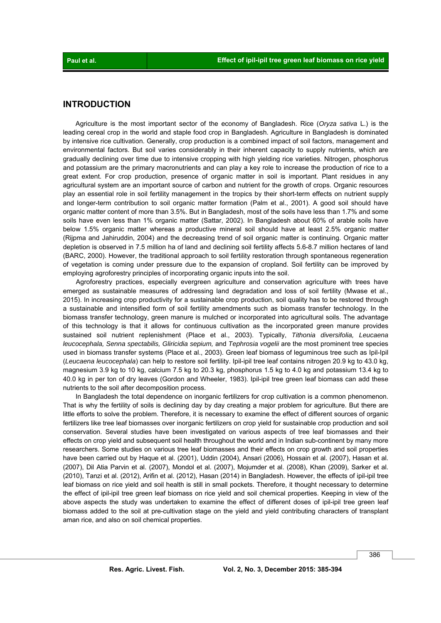# **INTRODUCTION**

 Agriculture is the most important sector of the economy of Bangladesh. Rice (*Oryza sativa* L.) is the leading cereal crop in the world and staple food crop in Bangladesh. Agriculture in Bangladesh is dominated by intensive rice cultivation. Generally, crop production is a combined impact of soil factors, management and environmental factors. But soil varies considerably in their inherent capacity to supply nutrients, which are gradually declining over time due to intensive cropping with high yielding rice varieties. Nitrogen, phosphorus and potassium are the primary macronutrients and can play a key role to increase the production of rice to a great extent. For crop production, presence of organic matter in soil is important. Plant residues in any agricultural system are an important source of carbon and nutrient for the growth of crops. Organic resources play an essential role in soil fertility management in the tropics by their short-term effects on nutrient supply and longer-term contribution to soil organic matter formation (Palm et al., 2001). A good soil should have organic matter content of more than 3.5%. But in Bangladesh, most of the soils have less than 1.7% and some soils have even less than 1% organic matter (Sattar, 2002). In Bangladesh about 60% of arable soils have below 1.5% organic matter whereas a productive mineral soil should have at least 2.5% organic matter (Rijpma and Jahiruddin, 2004) and the decreasing trend of soil organic matter is continuing. Organic matter depletion is observed in 7.5 million ha of land and declining soil fertility affects 5.6-8.7 million hectares of land (BARC, 2000). However, the traditional approach to soil fertility restoration through spontaneous regeneration of vegetation is coming under pressure due to the expansion of cropland. Soil fertility can be improved by employing agroforestry principles of incorporating organic inputs into the soil.

 Agroforestry practices, especially evergreen agriculture and conservation agriculture with trees have emerged as sustainable measures of addressing land degradation and loss of soil fertility (Mwase et al., 2015). In increasing crop productivity for a sustainable crop production, soil quality has to be restored through a sustainable and intensified form of soil fertility amendments such as biomass transfer technology. In the biomass transfer technology, green manure is mulched or incorporated into agricultural soils. The advantage of this technology is that it allows for continuous cultivation as the incorporated green manure provides sustained soil nutrient replenishment (Place et al., 2003). Typically, *Tithonia diversifolia, Leucaena leucocephala, Senna spectabilis, Gliricidia sepium, and Tephrosia vogelii are the most prominent tree species* used in biomass transfer systems (Place et al., 2003). Green leaf biomass of leguminous tree such as Ipil-Ipil (*Leucaena leucocephala*) can help to restore soil fertility. Ipil-ipil tree leaf contains nitrogen 20.9 kg to 43.0 kg, magnesium 3.9 kg to 10 kg, calcium 7.5 kg to 20.3 kg, phosphorus 1.5 kg to 4.0 kg and potassium 13.4 kg to 40.0 kg in per ton of dry leaves (Gordon and Wheeler, 1983). Ipil-ipil tree green leaf biomass can add these nutrients to the soil after decomposition process.

 In Bangladesh the total dependence on inorganic fertilizers for crop cultivation is a common phenomenon. That is why the fertility of soils is declining day by day creating a major problem for agriculture. But there are little efforts to solve the problem. Therefore, it is necessary to examine the effect of different sources of organic fertilizers like tree leaf biomasses over inorganic fertilizers on crop yield for sustainable crop production and soil conservation. Several studies have been investigated on various aspects of tree leaf biomasses and their effects on crop yield and subsequent soil health throughout the world and in Indian sub-continent by many more researchers. Some studies on various tree leaf biomasses and their effects on crop growth and soil properties have been carried out by Haque et al. (2001), Uddin (2004), Ansari (2006), Hossain et al. (2007), Hasan et al. (2007), Dil Atia Parvin et al. (2007), Mondol et al. (2007), Mojumder et al. (2008), Khan (2009), Sarker et al. (2010), Tanzi et al. (2012), Arifin et al. (2012), Hasan (2014) in Bangladesh. However, the effects of ipil-ipil tree leaf biomass on rice yield and soil health is still in small pockets. Therefore, it thought necessary to determine the effect of ipil-ipil tree green leaf biomass on rice yield and soil chemical properties. Keeping in view of the above aspects the study was undertaken to examine the effect of different doses of ipil-ipil tree green leaf biomass added to the soil at pre-cultivation stage on the yield and yield contributing characters of transplant aman rice, and also on soil chemical properties.

386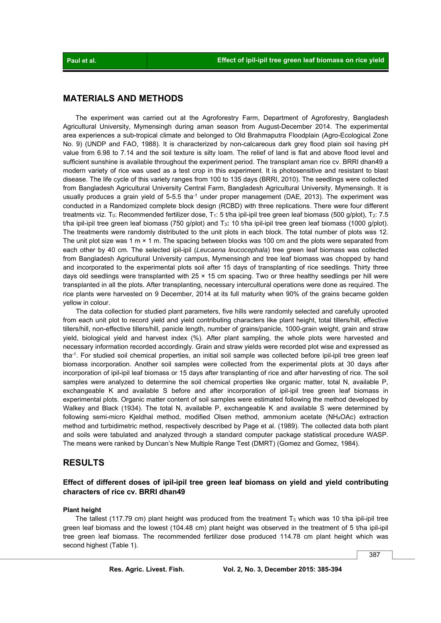## **MATERIALS AND METHODS**

 The experiment was carried out at the Agroforestry Farm, Department of Agroforestry, Bangladesh Agricultural University, Mymensingh during aman season from August-December 2014. The experimental area experiences a sub-tropical climate and belonged to Old Brahmaputra Floodplain (Agro-Ecological Zone No. 9) (UNDP and FAO, 1988). It is characterized by non-calcareous dark grey flood plain soil having pH value from 6.98 to 7.14 and the soil texture is silty loam. The relief of land is flat and above flood level and sufficient sunshine is available throughout the experiment period. The transplant aman rice cv. BRRI dhan49 a modern variety of rice was used as a test crop in this experiment. It is photosensitive and resistant to blast disease. The life cycle of this variety ranges from 100 to 135 days (BRRI, 2010). The seedlings were collected from Bangladesh Agricultural University Central Farm, Bangladesh Agricultural University, Mymensingh. It is usually produces a grain yield of  $5-5.5$  tha $^{-1}$  under proper management (DAE, 2013). The experiment was conducted in a Randomized complete block design (RCBD) with three replications. There were four different treatments viz. To: Recommended fertilizer dose, T<sub>1</sub>: 5 t/ha ipil-ipil tree green leaf biomass (500 g/plot), T<sub>2</sub>: 7.5 t/ha ipil-ipil tree green leaf biomass (750 g/plot) and T3**:** 10 t/ha ipil-ipil tree green leaf biomass (1000 g/plot). The treatments were randomly distributed to the unit plots in each block. The total number of plots was 12. The unit plot size was 1 m  $\times$  1 m. The spacing between blocks was 100 cm and the plots were separated from each other by 40 cm. The selected ipil-ipil (*Leucaena leucocephala*) tree green leaf biomass was collected from Bangladesh Agricultural University campus, Mymensingh and tree leaf biomass was chopped by hand and incorporated to the experimental plots soil after 15 days of transplanting of rice seedlings. Thirty three days old seedlings were transplanted with 25  $\times$  15 cm spacing. Two or three healthy seedlings per hill were transplanted in all the plots. After transplanting, necessary intercultural operations were done as required. The rice plants were harvested on 9 December, 2014 at its full maturity when 90% of the grains became golden yellow in colour.

 The data collection for studied plant parameters, five hills were randomly selected and carefully uprooted from each unit plot to record yield and yield contributing characters like plant height, total tillers/hill, effective tillers/hill, non-effective tillers/hill, panicle length, number of grains/panicle, 1000-grain weight, grain and straw yield, biological yield and harvest index (%). After plant sampling, the whole plots were harvested and necessary information recorded accordingly. Grain and straw yields were recorded plot wise and expressed as tha<sup>-1</sup>. For studied soil chemical properties, an initial soil sample was collected before ipil-ipil tree green leaf biomass incorporation. Another soil samples were collected from the experimental plots at 30 days after incorporation of ipil-ipil leaf biomass or 15 days after transplanting of rice and after harvesting of rice. The soil samples were analyzed to determine the soil chemical properties like organic matter, total N, available P, exchangeable K and available S before and after incorporation of ipil-ipil tree green leaf biomass in experimental plots. Organic matter content of soil samples were estimated following the method developed by Walkey and Black (1934). The total N, available P, exchangeable K and available S were determined by following semi-micro Kjeldhal method, modified Olsen method, ammonium acetate (NH4OAc) extraction method and turbidimetric method, respectively described by Page et al. (1989). The collected data both plant and soils were tabulated and analyzed through a standard computer package statistical procedure WASP. The means were ranked by Duncan's New Multiple Range Test (DMRT) (Gomez and Gomez, 1984).

## **RESULTS**

## **Effect of different doses of ipil-ipil tree green leaf biomass on yield and yield contributing characters of rice cv. BRRI dhan49**

#### **Plant height**

The tallest (117.79 cm) plant height was produced from the treatment  $T_3$  which was 10 t/ha ipil-ipil tree green leaf biomass and the lowest (104.48 cm) plant height was observed in the treatment of 5 t/ha ipil-ipil tree green leaf biomass. The recommended fertilizer dose produced 114.78 cm plant height which was second highest (Table 1).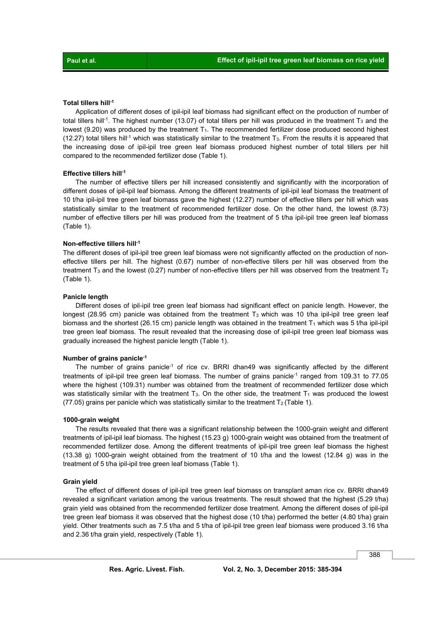#### **Total tillers hill-1**

 Application of different doses of ipil-ipil leaf biomass had significant effect on the production of number of total tillers hill<sup>-1</sup>. The highest number (13.07) of total tillers per hill was produced in the treatment  $T_3$  and the lowest (9.20) was produced by the treatment  $T_1$ . The recommended fertilizer dose produced second highest (12.27) total tillers hill<sup>-1</sup> which was statistically similar to the treatment T<sub>3</sub>. From the results it is appeared that the increasing dose of ipil-ipil tree green leaf biomass produced highest number of total tillers per hill compared to the recommended fertilizer dose (Table 1).

### **Effective tillers hill-1**

 The number of effective tillers per hill increased consistently and significantly with the incorporation of different doses of ipil-ipil leaf biomass. Among the different treatments of ipil-ipil leaf biomass the treatment of 10 t/ha ipil-ipil tree green leaf biomass gave the highest (12.27) number of effective tillers per hill which was statistically similar to the treatment of recommended fertilizer dose. On the other hand, the lowest (8.73) number of effective tillers per hill was produced from the treatment of 5 t/ha ipil-ipil tree green leaf biomass (Table 1).

#### **Non-effective tillers hill-1**

The different doses of ipil-ipil tree green leaf biomass were not significantly affected on the production of noneffective tillers per hill. The highest (0.67) number of non-effective tillers per hill was observed from the treatment T<sub>3</sub> and the lowest (0.27) number of non-effective tillers per hill was observed from the treatment T<sub>2</sub> (Table 1).

#### **Panicle length**

 Different doses of ipil-ipil tree green leaf biomass had significant effect on panicle length. However, the longest (28.95 cm) panicle was obtained from the treatment  $T_3$  which was 10 t/ha ipil-ipil tree green leaf biomass and the shortest (26.15 cm) panicle length was obtained in the treatment  $T_1$  which was 5 t/ha ipil-ipil tree green leaf biomass. The result revealed that the increasing dose of ipil-ipil tree green leaf biomass was gradually increased the highest panicle length (Table 1).

#### **Number of grains panicle-1**

The number of grains panicle<sup>-1</sup> of rice cv. BRRI dhan49 was significantly affected by the different treatments of ipil-ipil tree green leaf biomass. The number of grains panicle<sup>-1</sup> ranged from 109.31 to 77.05 where the highest (109.31) number was obtained from the treatment of recommended fertilizer dose which was statistically similar with the treatment  $T_3$ . On the other side, the treatment  $T_1$  was produced the lowest (77.05) grains per panicle which was statistically similar to the treatment  $T_2$  (Table 1).

#### **1000-grain weight**

 The results revealed that there was a significant relationship between the 1000-grain weight and different treatments of ipil-ipil leaf biomass. The highest (15.23 g) 1000-grain weight was obtained from the treatment of recommended fertilizer dose. Among the different treatments of ipil-ipil tree green leaf biomass the highest (13.38 g) 1000-grain weight obtained from the treatment of 10 t/ha and the lowest (12.84 g) was in the treatment of 5 t/ha ipil-ipil tree green leaf biomass (Table 1).

#### **Grain yield**

 The effect of different doses of ipil-ipil tree green leaf biomass on transplant aman rice cv. BRRI dhan49 revealed a significant variation among the various treatments. The result showed that the highest (5.29 t/ha) grain yield was obtained from the recommended fertilizer dose treatment. Among the different doses of ipil-ipil tree green leaf biomass it was observed that the highest dose (10 t/ha) performed the better (4.80 t/ha) grain yield. Other treatments such as 7.5 t/ha and 5 t/ha of ipil-ipil tree green leaf biomass were produced 3.16 t/ha and 2.36 t/ha grain yield, respectively (Table 1).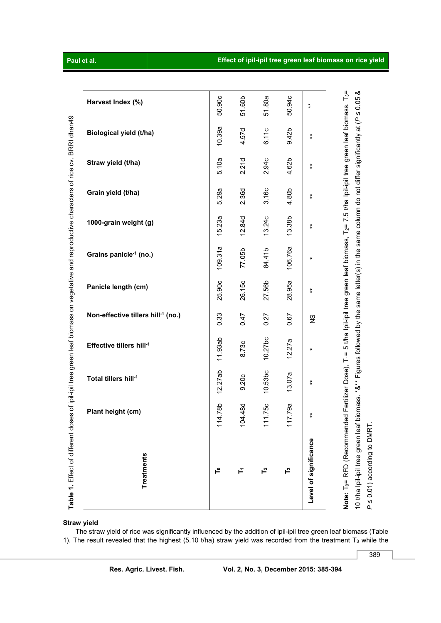Note: T<sub>o</sub>= RFD (Recommended Fertilizer Dose), T<sub>1</sub>= 5 t/ha Ipil-ipil tree green leaf biomass, T<sub>2</sub>= 7.5 t/ha Ipil-ipil tree green leaf biomass, T<sub>3</sub>= 10 t/ha Ipil-ipil tree green leaf biomass. \*&\*\* Figures followed by the same letter(s) in the same column do not differ significantly at (P ≤ 0.05 & 10 t/ha Ipil-ipil tree green leaf biomass. \*&\*\* Figures followed by the same letter(s) in the same column do not differ significantly at (*P* ≤ 0.05 & **Note:** T0= RFD (Recommended Fertilizer Dose), T1= 5 t/ha Ipil-ipil tree green leaf biomass, T2= 7.5 t/ha Ipil-ipil tree green leaf biomass, T3= 50.90c 50.94c 51.60b 51.80a **Harvest Index (%)**  \*\* **Table 1.** Effect of different doses of ipil-ipil tree green leaf biomass on vegetative and reproductive characters of rice cv. BRRI dhan49 Table 1. Effect of different doses of ipil-ipil tree green leaf biomass on vegetative and reproductive characters of rice cv. BRRI dhan49 10.39a 4.57d 6.11c 9.42b **Biological yield (t/ha)** \*\* 5.10a 2.21d 2.94c 4.62b **Straw yield (t/ha)** \*\* 5.29a 4.80b 2.36d 3.16c **Grain yield (t/ha)** \*\* 15.23a 12.84d 13.38b 13.24c **1000-grain weight (g)** \*\* 109.31a 106.76a 77.05b 84.41b **Grains panicle-1 (no.) \***  25.90c 26.15c 28.95a 27.56b **Panicle length (cm) \*\* Non-effective tillers hill-1 (no.)**  0.33 0.47 0.27 0.67  $\frac{8}{5}$ 11.93ab 10.27bc 12.27a **Effective tillers hill-1** 8.73c **\***  12.27ab 10.53bc 13.07a **Total tillers hill-1** 9.20c **\*\***  111.75c 114.78b 117.79a 104.48d **Plant height (cm)**  \*\* **Level of significance**  Level of significance **Treatments Treatments T0 T1 T2 T3**

**Straw yield** 

 The straw yield of rice was significantly influenced by the addition of ipil-ipil tree green leaf biomass (Table 1). The result revealed that the highest (5.10 t/ha) straw yield was recorded from the treatment  $T_3$  while the



389

*P* ≤ 0.01) according to DMRT.

P ≤ 0.01) according to DMRT.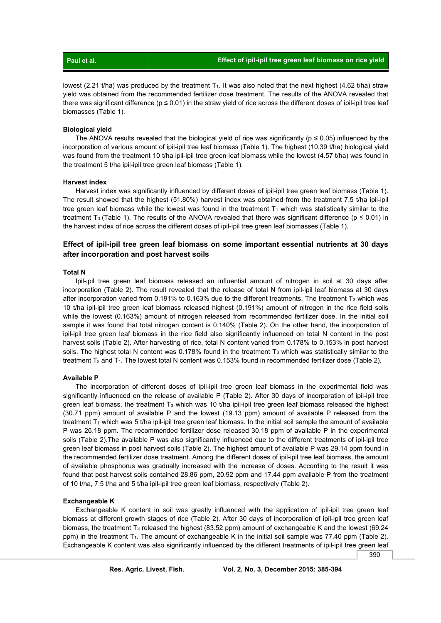| Paul et al. | Effect of ipil-ipil tree green leaf biomass on rice yield |
|-------------|-----------------------------------------------------------|
|             |                                                           |

lowest (2.21 t/ha) was produced by the treatment  $T_1$ . It was also noted that the next highest (4.62 t/ha) straw yield was obtained from the recommended fertilizer dose treatment. The results of the ANOVA revealed that there was significant difference ( $p \le 0.01$ ) in the straw yield of rice across the different doses of ipil-ipil tree leaf biomasses (Table 1).

#### **Biological yield**

The ANOVA results revealed that the biological yield of rice was significantly ( $p \le 0.05$ ) influenced by the incorporation of various amount of ipil-ipil tree leaf biomass (Table 1). The highest (10.39 t/ha) biological yield was found from the treatment 10 t/ha ipil-ipil tree green leaf biomass while the lowest (4.57 t/ha) was found in the treatment 5 t/ha ipil-ipil tree green leaf biomass (Table 1).

#### **Harvest index**

 Harvest index was significantly influenced by different doses of ipil-ipil tree green leaf biomass (Table 1). The result showed that the highest (51.80%) harvest index was obtained from the treatment 7.5 t/ha ipil-ipil tree green leaf biomass while the lowest was found in the treatment  $T_1$  which was statistically similar to the treatment T<sub>3</sub> (Table 1). The results of the ANOVA revealed that there was significant difference ( $p \le 0.01$ ) in the harvest index of rice across the different doses of ipil-ipil tree green leaf biomasses (Table 1).

# **Effect of ipil-ipil tree green leaf biomass on some important essential nutrients at 30 days after incorporation and post harvest soils**

#### **Total N**

 Ipil-ipil tree green leaf biomass released an influential amount of nitrogen in soil at 30 days after incorporation (Table 2). The result revealed that the release of total N from ipil-ipil leaf biomass at 30 days after incorporation varied from 0.191% to 0.163% due to the different treatments. The treatment  $T_3$  which was 10 t/ha ipil-ipil tree green leaf biomass released highest (0.191%) amount of nitrogen in the rice field soils while the lowest (0.163%) amount of nitrogen released from recommended fertilizer dose. In the initial soil sample it was found that total nitrogen content is 0.140% (Table 2). On the other hand, the incorporation of ipil-ipil tree green leaf biomass in the rice field also significantly influenced on total N content in the post harvest soils (Table 2). After harvesting of rice, total N content varied from 0.178% to 0.153% in post harvest soils. The highest total N content was  $0.178\%$  found in the treatment T<sub>3</sub> which was statistically similar to the treatment T<sub>2</sub> and T<sub>1</sub>. The lowest total N content was 0.153% found in recommended fertilizer dose (Table 2).

#### **Available P**

 The incorporation of different doses of ipil-ipil tree green leaf biomass in the experimental field was significantly influenced on the release of available P (Table 2). After 30 days of incorporation of ipil-ipil tree green leaf biomass, the treatment  $T_3$  which was 10 t/ha ipil-ipil tree green leaf biomass released the highest (30.71 ppm) amount of available P and the lowest (19.13 ppm) amount of available P released from the treatment  $T_1$  which was 5 t/ha ipil-ipil tree green leaf biomass. In the initial soil sample the amount of available P was 26.18 ppm. The recommended fertilizer dose released 30.18 ppm of available P in the experimental soils (Table 2).The available P was also significantly influenced due to the different treatments of ipil-ipil tree green leaf biomass in post harvest soils (Table 2). The highest amount of available P was 29.14 ppm found in the recommended fertilizer dose treatment. Among the different doses of ipil-ipil tree leaf biomass, the amount of available phosphorus was gradually increased with the increase of doses. According to the result it was found that post harvest soils contained 28.86 ppm, 20.92 ppm and 17.44 ppm available P from the treatment of 10 t/ha, 7.5 t/ha and 5 t/ha ipil-ipil tree green leaf biomass, respectively (Table 2).

#### **Exchangeable K**

 Exchangeable K content in soil was greatly influenced with the application of ipil-ipil tree green leaf biomass at different growth stages of rice (Table 2). After 30 days of incorporation of ipil-ipil tree green leaf biomass, the treatment T<sub>3</sub> released the highest (83.52 ppm) amount of exchangeable K and the lowest (69.24 ppm) in the treatment  $T_1$ . The amount of exchangeable K in the initial soil sample was 77.40 ppm (Table 2). Exchangeable K content was also significantly influenced by the different treatments of ipil-ipil tree green leaf

390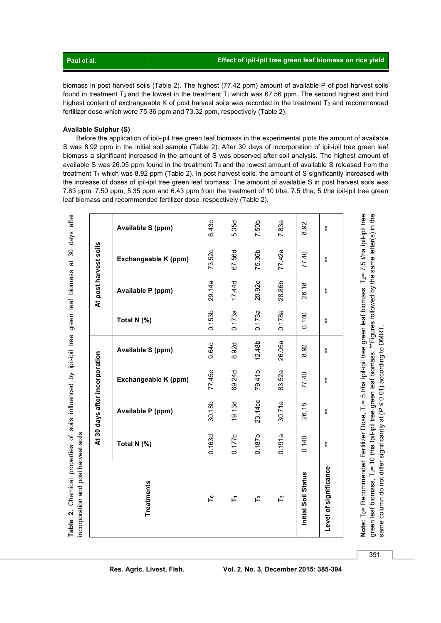| Paul et al. | Effect of ipil-ipil tree green leaf biomass on rice yield |
|-------------|-----------------------------------------------------------|
|             |                                                           |

biomass in post harvest soils (Table 2). The highest (77.42 ppm) amount of available P of post harvest soils found in treatment T<sub>3</sub> and the lowest in the treatment T<sub>1</sub> which was 67.56 ppm. The second highest and third highest content of exchangeable K of post harvest soils was recorded in the treatment T<sub>3</sub> and recommended fertilizer dose which were 75.36 ppm and 73.32 ppm, respectively (Table 2).

### **Available Sulphur (S)**

Before the application of ipil-ipil tree green leaf biomass in the experimental plots the amount of available S was 8.92 ppm in the initial soil sample (Table 2). After 30 days of incorporation of ipil-ipil tree green leaf biomass a significant increased in the amount of S was observed after soil analysis. The highest amount of available S was 26.05 ppm found in the treatment  $T_3$  and the lowest amount of available S released from the treatment T<sub>1</sub> which was 8.92 ppm (Table 2). In post harvest soils, the amount of S significantly increased with the increase of doses of ipil-ipil tree green leaf biomass. The amount of available S in post harvest soils was 7.83 ppm, 7.50 ppm, 5.35 ppm and 6.43 ppm from the treatment of 10 t/ha, 7.5 t/ha, 5 t/ha ipil-ipil tree green leaf biomass and recommended fertilizer dose, respectively (Table 2).

|                       |             | At 30 days after incorporation |                      |                    |                    |                   | At post harvest soils |                   |
|-----------------------|-------------|--------------------------------|----------------------|--------------------|--------------------|-------------------|-----------------------|-------------------|
| <b>Treatments</b>     | Total N (%) | Available P (ppm)              | Exchangeable K (ppm) | Available S (ppm)  | Total N (%)        | Available P (ppm) | Exchangeable K (ppm)  | Available S (ppm) |
| ٩                     | 0.163d      | 30.18b                         | 77.45c               | 9.64c              | 0.153 <sub>b</sub> | 29.14a            | 73.52c                | 6.43c             |
| Ě                     | 0.177c      | 19.13d                         | 69.24d               | 8.92d              | 0.173a             | 17.44d            | 67.56d                | 5.35d             |
| ۲,                    | 0.187b      | 23.14cc                        | 79.41b               | 12.48 <sub>b</sub> | 0.173a             | 20.92c            | 75.36b                | 7.50b             |
| ۲,                    | 0.191a      | 30.71a                         | 83.52a               | 26.05a             | 0.178a             | 28.86b            | 77.42a                | 7.83a             |
| Initial Soil Status   | 0.140       | 26.18                          | 77.40                | 8.92               | 0.140              | 26.18             | 77.40                 | 8.92              |
| Level of significance | $\ddagger$  | $\ddagger$                     | $\ast$               | $\ddagger$         | $\ddagger$         | $\ast$            | $\ddagger$            | $^\ast_\ast$      |

green leaf biomass, T<sub>3</sub>= 10 t/ha Ipil-ipil tree green leaf biomass. \*\*Figures followed by the same letter(s) in the<br>same column do not differ significantly at (*P* ≤ 0.01) according to DMRT. green leaf biomass, T3= 10 t/ha Ipil-ipil tree green leaf biomass. \*\*Figures followed by the same letter(s) in the same column do not differ significantly at (*P* ≤ 0.01) according to DMRT.

391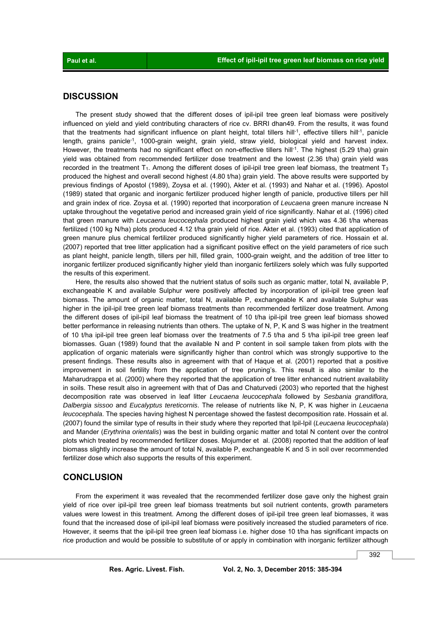# **DISCUSSION**

 The present study showed that the different doses of ipil-ipil tree green leaf biomass were positively influenced on yield and yield contributing characters of rice cv. BRRI dhan49. From the results, it was found that the treatments had significant influence on plant height, total tillers hill-1, effective tillers hill-1, panicle length, grains panicle<sup>-1</sup>, 1000-grain weight, grain yield, straw yield, biological yield and harvest index. However, the treatments had no significant effect on non-effective tillers hill<sup>-1</sup>. The highest (5.29 t/ha) grain yield was obtained from recommended fertilizer dose treatment and the lowest (2.36 t/ha) grain yield was recorded in the treatment  $T_1$ . Among the different doses of ipil-ipil tree green leaf biomass, the treatment  $T_3$ produced the highest and overall second highest (4.80 t/ha) grain yield. The above results were supported by previous findings of Apostol (1989), Zoysa et al. (1990), Akter et al. (1993) and Nahar et al. (1996). Apostol (1989) stated that organic and inorganic fertilizer produced higher length of panicle, productive tillers per hill and grain index of rice. Zoysa et al. (1990) reported that incorporation of *Leucaena* green manure increase N uptake throughout the vegetative period and increased grain yield of rice significantly. Nahar et al. (1996) cited that green manure with *Leucaena leucocephala* produced highest grain yield which was 4.36 t/ha whereas fertilized (100 kg N/ha) plots produced 4.12 t/ha grain yield of rice. Akter et al. (1993) cited that application of green manure plus chemical fertilizer produced significantly higher yield parameters of rice. Hossain et al. (2007) reported that tree litter application had a significant positive effect on the yield parameters of rice such as plant height, panicle length, tillers per hill, filled grain, 1000-grain weight, and the addition of tree litter to inorganic fertilizer produced significantly higher yield than inorganic fertilizers solely which was fully supported the results of this experiment.

 Here, the results also showed that the nutrient status of soils such as organic matter, total N, available P, exchangeable K and available Sulphur were positively affected by incorporation of ipil-ipil tree green leaf biomass. The amount of organic matter, total N, available P, exchangeable K and available Sulphur was higher in the ipil-ipil tree green leaf biomass treatments than recommended fertilizer dose treatment. Among the different doses of ipil-ipil leaf biomass the treatment of 10 t/ha ipil-ipil tree green leaf biomass showed better performance in releasing nutrients than others. The uptake of N, P, K and S was higher in the treatment of 10 t/ha ipil-ipil tree green leaf biomass over the treatments of 7.5 t/ha and 5 t/ha ipil-ipil tree green leaf biomasses. Guan (1989) found that the available N and P content in soil sample taken from plots with the application of organic materials were significantly higher than control which was strongly supportive to the present findings. These results also in agreement with that of Haque et al. (2001) reported that a positive improvement in soil fertility from the application of tree pruning's. This result is also similar to the Maharudrappa et al. (2000) where they reported that the application of tree litter enhanced nutrient availability in soils. These result also in agreement with that of Das and Chaturvedi (2003) who reported that the highest decomposition rate was observed in leaf litter *Leucaena leucocephala* followed by *Sesbania grandiflora, Dalbergia sissoo* and *Eucalyptus tereticornis*. The release of nutrients like N, P, K was higher in *Leucaena leucocephala*. The species having highest N percentage showed the fastest decomposition rate. Hossain et al. (2007) found the similar type of results in their study where they reported that Ipil-Ipil (*Leucaena leucocephala*) and Mander (*Erythrina orientalis*) was the best in building organic matter and total N content over the control plots which treated by recommended fertilizer doses. Mojumder et al. (2008) reported that the addition of leaf biomass slightly increase the amount of total N, available P, exchangeable K and S in soil over recommended fertilizer dose which also supports the results of this experiment.

## **CONCLUSION**

 From the experiment it was revealed that the recommended fertilizer dose gave only the highest grain yield of rice over ipil-ipil tree green leaf biomass treatments but soil nutrient contents, growth parameters values were lowest in this treatment. Among the different doses of ipil-ipil tree green leaf biomasses, it was found that the increased dose of ipil-ipil leaf biomass were positively increased the studied parameters of rice. However, it seems that the ipil-ipil tree green leaf biomass i.e. higher dose 10 t/ha has significant impacts on rice production and would be possible to substitute of or apply in combination with inorganic fertilizer although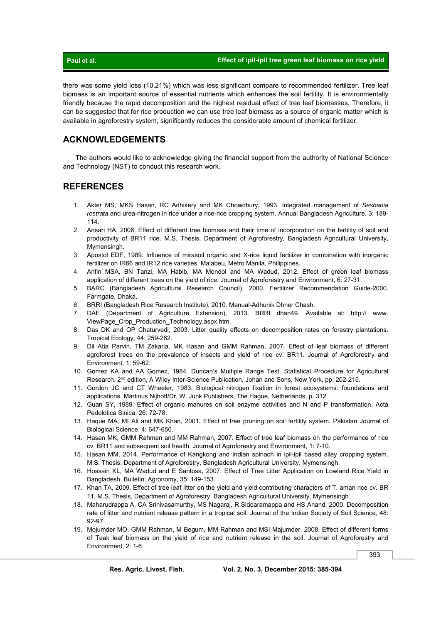there was some yield loss (10.21%) which was less significant compare to recommended fertilizer. Tree leaf biomass is an important source of essential nutrients which enhances the soil fertility. It is environmentally friendly because the rapid decomposition and the highest residual effect of tree leaf biomasses. Therefore, it can be suggested that for rice production we can use tree leaf biomass as a source of organic matter which is available in agroforestry system, significantly reduces the considerable amount of chemical fertilizer.

# **ACKNOWLEDGEMENTS**

 The authors would like to acknowledge giving the financial support from the authority of National Science and Technology (NST) to conduct this research work.

## **REFERENCES**

- 1. Akter MS, MKS Hasan, RC Adhikery and MK Chowdhury, 1993. Integrated management of *Sesbania rostrata* and urea-nitrogen in rice under a rice-rice cropping system. Annual Bangladesh Agriculture, 3: 189- 114.
- 2. Ansari HA, 2006. Effect of different tree biomass and their time of incorporation on the fertility of soil and productivity of BR11 rice. M.S. Thesis, Department of Agroforestry, Bangladesh Agricultural University, Mymensingh.
- 3. Apostol EDF, 1989. Influence of mirasoil organic and X-rice liquid fertilizer in combination with inorganic fertilizer on IR66 and IR12 rice varieties. Malabeu, Metro Manila, Philippines.
- 4. Arifin MSA, BN Tanzi, MA Habib, MA Mondol and MA Wadud, 2012. Effect of green leaf biomass application of different trees on the yield of rice. Journal of Agroforestry and Environment, 6: 27-31.
- 5. BARC (Bangladesh Agricultural Research Council), 2000. Fertilizer Recommendation Guide-2000. Farmgate, Dhaka.
- 6. BRRI (Bangladesh Rice Research Institute), 2010. Manual-Adhunik Dhner Chash.
- 7. DAE (Department of Agriculture Extension), 2013. BRRI dhan49. Available at: http:// www. ViewPage\_Crop\_Production\_Technology.aspx.htm.
- 8. Das DK and OP Chaturvedi, 2003. Litter quality effects on decomposition rates on forestry plantations. Tropical Ecology, 44: 259-262.
- 9. Dil Atia Parvin, TM Zakaria, MK Hasan and GMM Rahman, 2007. Effect of leaf biomass of different agroforest trees on the prevalence of insects and yield of rice cv. BR11. Journal of Agroforestry and Environment, 1: 59-62.
- 10. Gomez KA and AA Gomez, 1984. Duncan's Multiple Range Test. Statistical Procedure for Agricultural Research. 2<sup>nd</sup> edition, A Wiley Inter-Science Publication, Johan and Sons, New York, pp: 202-215.
- 11. Gordon JC and CT Wheeler, 1983. Biological nitrogen fixation in forest ecosystems: foundations and applications. Martinus Nijhoff/Dr. W. Junk Publishers, The Hague, Netherlands, p. 312.
- 12. Guan SY, 1989. Effect of organic manures on soil enzyme activities and N and P transformation. Acta Pedolotica Sinica, 26: 72-78.
- 13. Haque MA, MI Ali and MK Khan, 2001. Effect of tree pruning on soil fertility system. Pakistan Journal of Biological Science, 4: 647-650.
- 14. Hasan MK, GMM Rahman and MM Rahman, 2007. Effect of tree leaf biomass on the performance of rice cv. BR11 and subsequent soil health. Journal of Agroforestry and Environment, 1: 7-10.
- 15. Hasan MM, 2014. Performance of Kangkong and Indian spinach in ipil-ipil based alley cropping system. M.S. Thesis, Department of Agroforestry, Bangladesh Agricultural University, Mymensingh.
- 16. Hossain KL, MA Wadud and E Santosa, 2007. Effect of Tree Litter Application on Lowland Rice Yield in Bangladesh. Bulletin: Agronomy, 35: 149-153.
- 17. Khan TA, 2009. Effect of tree leaf litter on the yield and yield contributing characters of T. aman rice cv. BR 11. M.S. Thesis, Department of Agroforestry, Bangladesh Agricultural University, Mymensingh.
- 18. Maharudrappa A, CA Srinivasamurthy, MS Nagaraj, R Siddaramappa and HS Anand, 2000. Decomposition rate of litter and nutrient release pattern in a tropical soil. Journal of the Indian Society of Soil Science, 48: 92-97.
- 19. Mojumder MO, GMM Rahman, M Begum, MM Rahman and MSI Majumder, 2008. Effect of different forms of Teak leaf biomass on the yield of rice and nutrient release in the soil. Journal of Agroforestry and Environment, 2: 1-6.